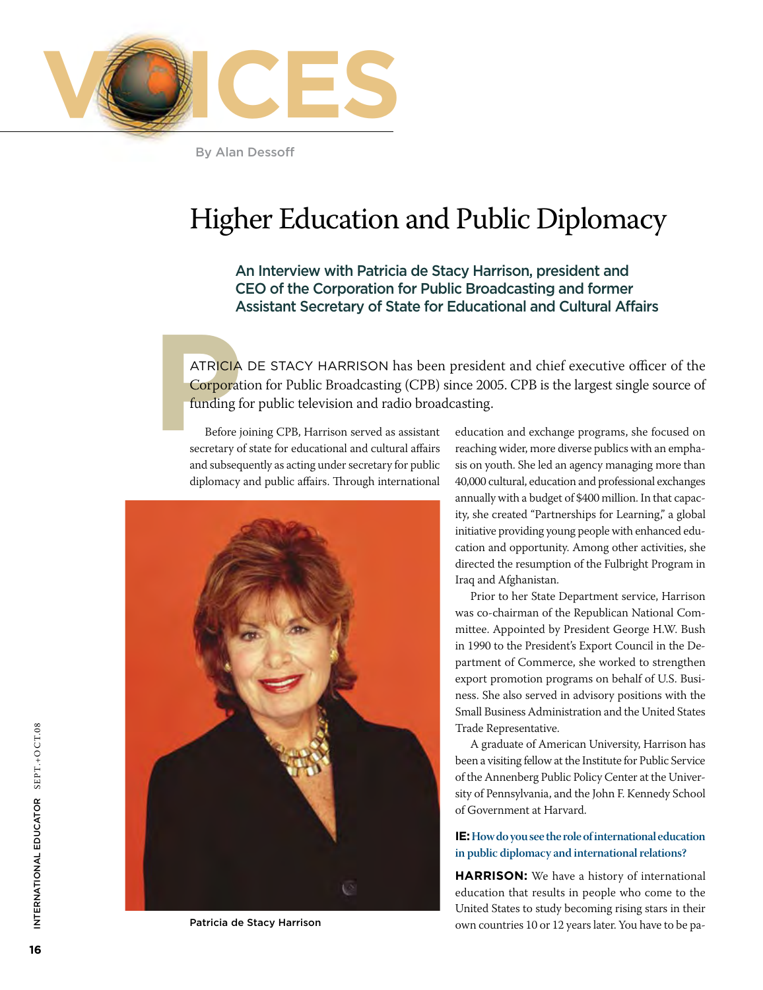

By Alan Dessoff

# Higher Education and Public Diplomacy

### An Interview with Patricia de Stacy Harrison, president and CEO of the Corporation for Public Broadcasting and former Assistant Secretary of State for Educational and Cultural Affairs

**PPE CIA DE STACY HARRISON has beer**<br>**PPE Corporation for Public Broadcasting (CPB)**<br>**EPPE funding for public television and radio broad**<br>Before joining CPB, Harrison served as assistant<br>secretary of state for educational ATRICIA DE STACY HARRISON has been president and chief executive officer of the Corporation for Public Broadcasting (CPB) since 2005. CPB is the largest single source of funding for public television and radio broadcasting.

secretary of state for educational and cultural affairs and subsequently as acting under secretary for public diplomacy and public affairs. Through international



Patricia de Stacy Harrison

education and exchange programs, she focused on reaching wider, more diverse publics with an emphasis on youth. She led an agency managing more than 40,000 cultural, education and professional exchanges annually with a budget of \$400 million. In that capacity, she created "Partnerships for Learning," a global initiative providing young people with enhanced education and opportunity. Among other activities, she directed the resumption of the Fulbright Program in Iraq and Afghanistan.

Prior to her State Department service, Harrison was co-chairman of the Republican National Committee. Appointed by President George H.W. Bush in 1990 to the President's Export Council in the Department of Commerce, she worked to strengthen export promotion programs on behalf of U.S. Business. She also served in advisory positions with the Small Business Administration and the United States Trade Representative.

A graduate of American University, Harrison has been a visiting fellow at the Institute for Public Service of the Annenberg Public Policy Center at the University of Pennsylvania, and the John F. Kennedy School of Government at Harvard.

#### **IE: How do you see the role of international education in public diplomacy and international relations?**

**HARRISON:** We have a history of international education that results in people who come to the United States to study becoming rising stars in their own countries 10 or 12 years later. You have to be pa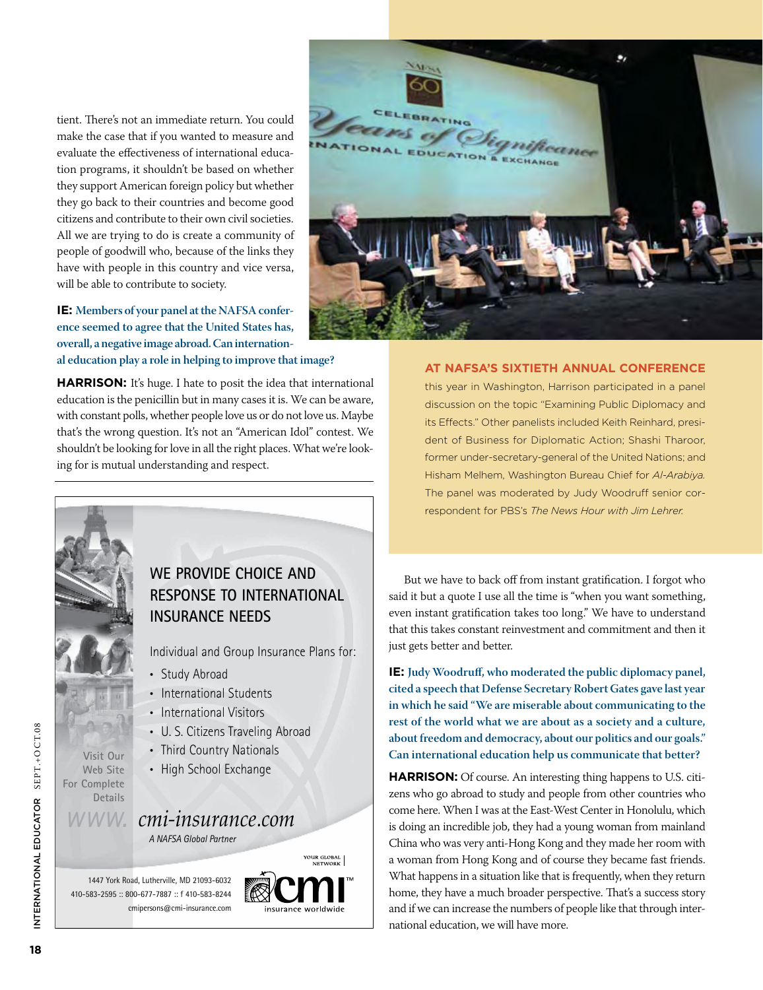tient. There's not an immediate return. You could make the case that if you wanted to measure and evaluate the effectiveness of international education programs, it shouldn't be based on whether they support American foreign policy but whether they go back to their countries and become good citizens and contribute to their own civil societies. All we are trying to do is create a community of  $\Box$ people of goodwill who, because of the links they have with people in this country and vice versa, will be able to contribute to society.

**IE: Members of your panel at the NAFSA conference seemed to agree that the United States has, overall, a negative image abroad. Can international education play a role in helping to improve that image?**  $\frac{1}{2}$   $\frac{1}{2}$   $\frac{1}{2}$   $\frac{1}{2}$   $\frac{1}{2}$   $\frac{1}{2}$   $\frac{1}{2}$   $\frac{1}{2}$   $\frac{1}{2}$   $\frac{1}{2}$   $\frac{1}{2}$   $\frac{1}{2}$   $\frac{1}{2}$   $\frac{1}{2}$   $\frac{1}{2}$   $\frac{1}{2}$   $\frac{1}{2}$   $\frac{1}{2}$   $\frac{1}{2}$   $\frac{1}{2}$   $\frac{1}{2}$   $\frac{1}{2}$   $\frac{36}{100}$   $\frac{36}{100}$   $\frac{36}{100}$   $\frac{36}{100}$   $\frac{36}{100}$   $\frac{36}{100}$   $\frac{36}{100}$  $\frac{3}{2}$ arcudeanon piay a role in neiping to improve that mage.

HARRISON: It's huge. I hate to posit the idea that international education is the penicillin but in many cases it is. We can be aware, with constant polls, whether people love us or do not love us. Maybe that's the wrong question. It's not an "American Idol" contest. We shouldn't be looking for love in all the right places. What we're looking for is mutual understanding and respect.



#### **At NAFSA's sixtieth annual conference**

this year in Washington, Harrison participated in a panel discussion on the topic "Examining Public Diplomacy and its Effects." Other panelists included Keith Reinhard, president of Business for Diplomatic Action; Shashi Tharoor, former under-secretary-general of the United Nations; and Hisham Melhem, Washington Bureau Chief for *Al-Arabiya.*  The panel was moderated by Judy Woodruff senior correspondent for PBS's *The News Hour with Jim Lehrer.* 

## WE PROVIDE CHOICE AND RESPONSE TO INTERNATIONAL **INSURANCE NEEDS**

Individual and Group Insurance Plans for:

• Study Abroad

- International Students
- International Visitors
- U. S. Citizens Traveling Abroad
- Third Country Nationals
- High School Exchange

#### $\frac{1}{2}$ *- -*

A NAFSA Global Partner

1447 York Road, Lutherville, MD 21093-6032 410-583-2595: 800-677-7887: f 410-583-8244 cmipersons@cmi-insurance.com

Visit Our Web Site For Complete Details



But we have to back off from instant gratification. I forgot who said it but a quote I use all the time is "when you want something, even instant gratification takes too long." We have to understand that this takes constant reinvestment and commitment and then it just gets better and better.

**IE: Judy Woodruff, who moderated the public diplomacy panel, cited a speech that Defense Secretary Robert Gates gave last year in which he said "We are miserable about communicating to the rest of the world what we are about as a society and a culture, about freedom and democracy, about our politics and our goals." Can international education help us communicate that better?**

**HARRISON:** Of course. An interesting thing happens to U.S. citizens who go abroad to study and people from other countries who come here. When I was at the East-West Center in Honolulu, which is doing an incredible job, they had a young woman from mainland China who was very anti-Hong Kong and they made her room with a woman from Hong Kong and of course they became fast friends. What happens in a situation like that is frequently, when they return home, they have a much broader perspective. That's a success story and if we can increase the numbers of people like that through interabout freedom and democracy, about<br>Can international education help us<br>**HARRISON:** Of course. An interesti<br>zens who go abroad to study and peop<br>come here. When I was at the East-We<br>is doing an incredible job, they had a y<br> cis C a V h a n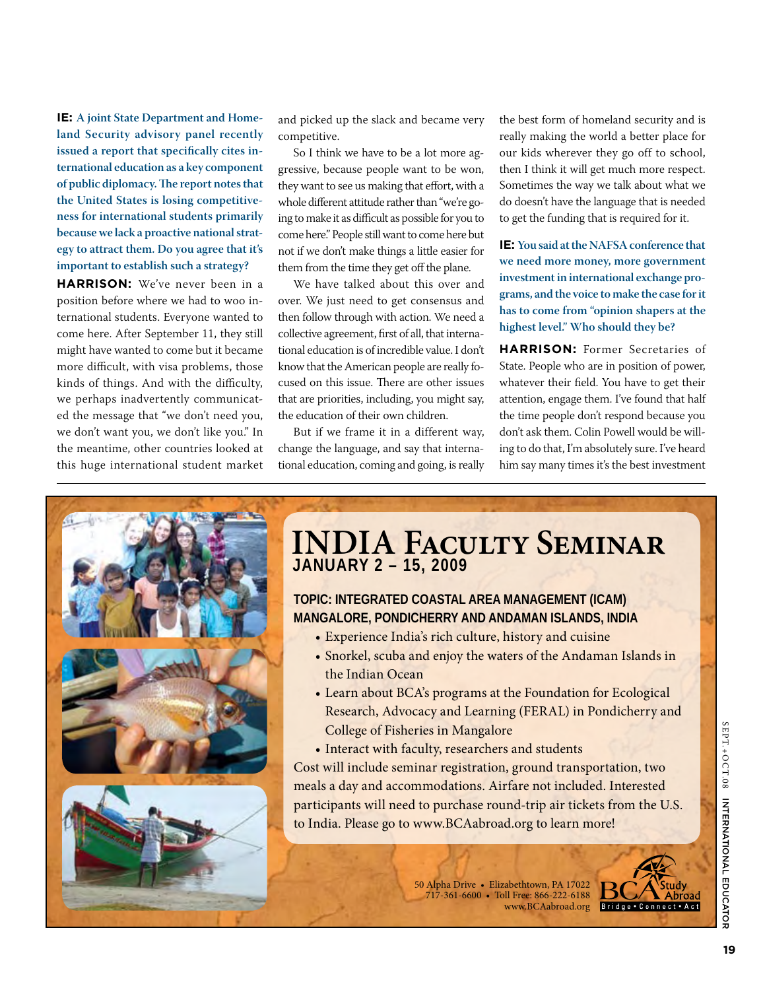**IE: A joint State Department and Homeland Security advisory panel recently issued a report that specifically cites international education as a key component of public diplomacy. The report notes that the United States is losing competitiveness for international students primarily because we lack a proactive national strategy to attract them. Do you agree that it's important to establish such a strategy?** 

**Harrison:** We've never been in a position before where we had to woo international students. Everyone wanted to come here. After September 11, they still might have wanted to come but it became more difficult, with visa problems, those kinds of things. And with the difficulty, we perhaps inadvertently communicated the message that "we don't need you, we don't want you, we don't like you." In the meantime, other countries looked at this huge international student market and picked up the slack and became very competitive.

So I think we have to be a lot more aggressive, because people want to be won, they want to see us making that effort, with a whole different attitude rather than "we're going to make it as difficult as possible for you to come here." People still want to come here but not if we don't make things a little easier for them from the time they get off the plane.

We have talked about this over and over. We just need to get consensus and then follow through with action. We need a collective agreement, first of all, that international education is of incredible value. I don't know that the American people are really focused on this issue. There are other issues that are priorities, including, you might say, the education of their own children.

But if we frame it in a different way, change the language, and say that international education, coming and going, is really the best form of homeland security and is really making the world a better place for our kids wherever they go off to school, then I think it will get much more respect. Sometimes the way we talk about what we do doesn't have the language that is needed to get the funding that is required for it.

**IE: You said at the NAFSA conference that we need more money, more government investment in international exchange programs, and the voice to make the case for it has to come from "opinion shapers at the highest level." Who should they be?**

**HARRISON:** Former Secretaries of State. People who are in position of power, whatever their field. You have to get their attention, engage them. I've found that half the time people don't respond because you don't ask them. Colin Powell would be willing to do that, I'm absolutely sure. I've heard him say many times it's the best investment



## **INDIA Faculty Seminar JANUARY 2 – 15, 2009**

### **TOPIC: INTEGRATED COASTAL AREA MANAGEMENT (ICAM) MANGALORE, PONDICHERRY AND ANDAMAN ISLANDS, INDIA**

- Experience India's rich culture, history and cuisine
- Snorkel, scuba and enjoy the waters of the Andaman Islands in the Indian Ocean
- Learn about BCA's programs at the Foundation for Ecological Research, Advocacy and Learning (FERAL) in Pondicherry and College of Fisheries in Mangalore
- Interact with faculty, researchers and students

Cost will include seminar registration, ground transportation, two meals a day and accommodations. Airfare not included. Interested participants will need to purchase round-trip air tickets from the U.S. to India. Please go to www.BCAabroad.org to learn more!

> 50 Alpha Drive • Elizabethtown, PA 17022 717-361-6600 • Toll Free: 866-222-6188 www.BCAabroad.org